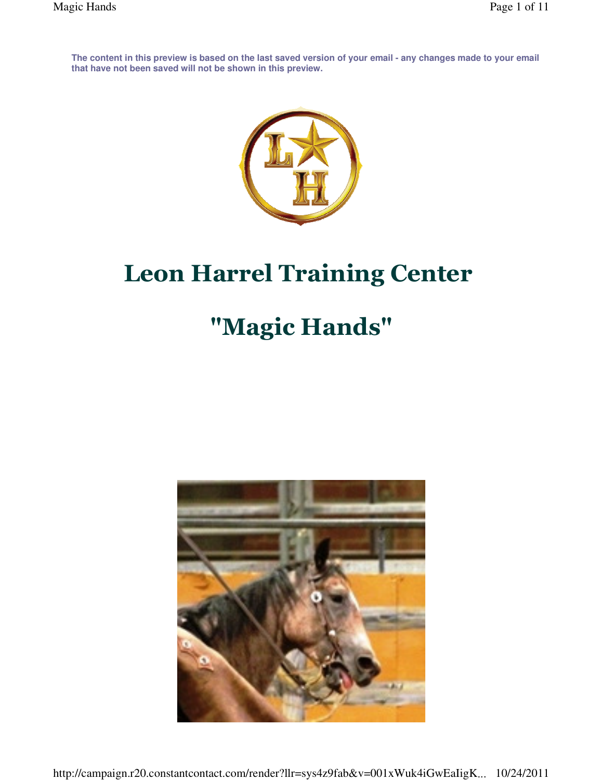**The content in this preview is based on the last saved version of your email - any changes made to your email that have not been saved will not be shown in this preview.** 



# **Leon Harrel Training Center**

# **"Magic Hands"**

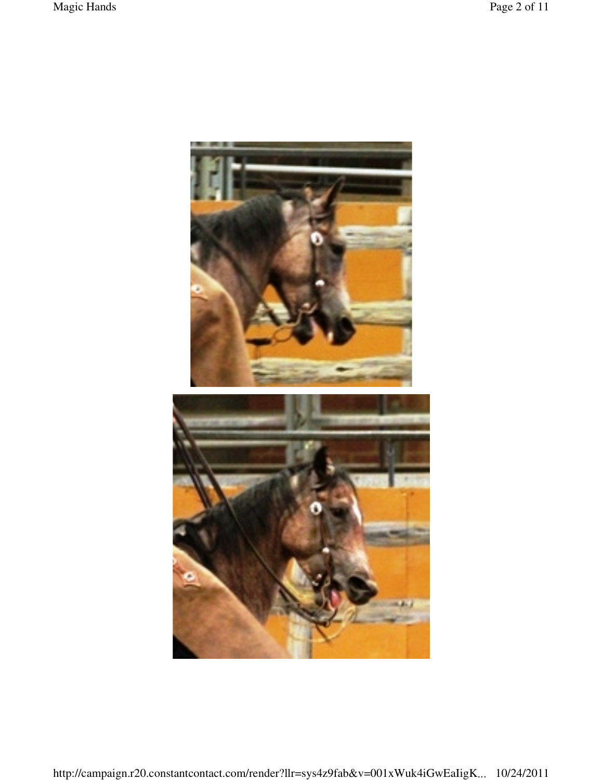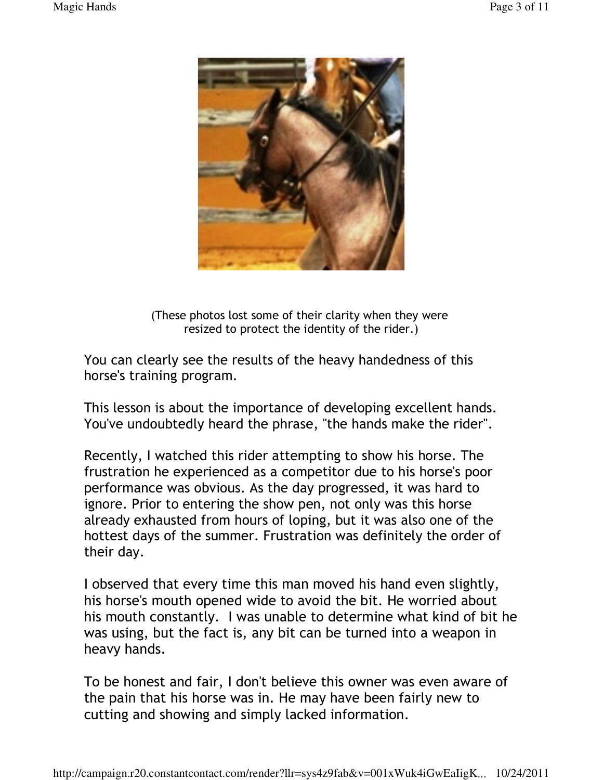

(These photos lost some of their clarity when they were resized to protect the identity of the rider.)

You can clearly see the results of the heavy handedness of this horse's training program.

This lesson is about the importance of developing excellent hands. You've undoubtedly heard the phrase, "the hands make the rider".

Recently, I watched this rider attempting to show his horse. The frustration he experienced as a competitor due to his horse's poor performance was obvious. As the day progressed, it was hard to ignore. Prior to entering the show pen, not only was this horse already exhausted from hours of loping, but it was also one of the hottest days of the summer. Frustration was definitely the order of their day.

I observed that every time this man moved his hand even slightly, his horse's mouth opened wide to avoid the bit. He worried about his mouth constantly. I was unable to determine what kind of bit he was using, but the fact is, any bit can be turned into a weapon in heavy hands.

To be honest and fair, I don't believe this owner was even aware of the pain that his horse was in. He may have been fairly new to cutting and showing and simply lacked information.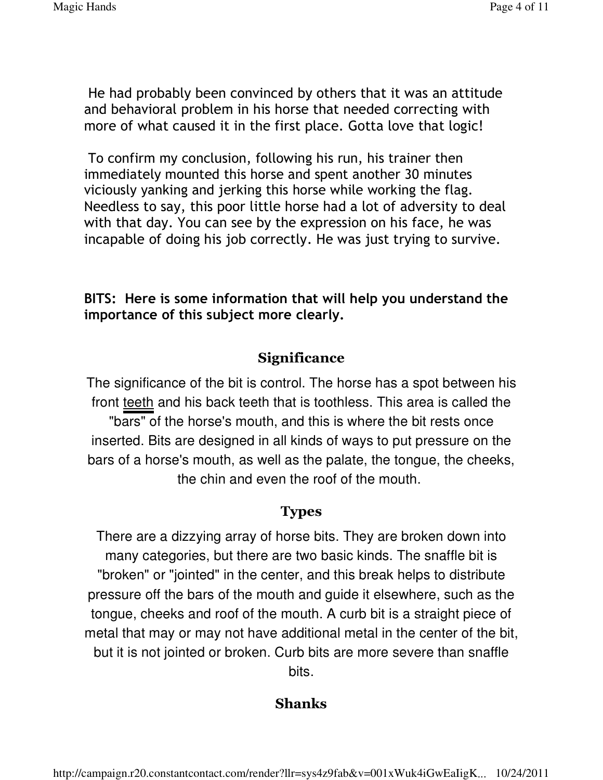He had probably been convinced by others that it was an attitude and behavioral problem in his horse that needed correcting with more of what caused it in the first place. Gotta love that logic!

To confirm my conclusion, following his run, his trainer then immediately mounted this horse and spent another 30 minutes viciously yanking and jerking this horse while working the flag. Needless to say, this poor little horse had a lot of adversity to deal with that day. You can see by the expression on his face, he was incapable of doing his job correctly. He was just trying to survive.

**BITS: Here is some information that will help you understand the importance of this subject more clearly.**

### **Significance**

The significance of the bit is control. The horse has a spot between his front teeth and his back teeth that is toothless. This area is called the "bars" of the horse's mouth, and this is where the bit rests once inserted. Bits are designed in all kinds of ways to put pressure on the bars of a horse's mouth, as well as the palate, the tongue, the cheeks, the chin and even the roof of the mouth.

### **Types**

There are a dizzying array of horse bits. They are broken down into many categories, but there are two basic kinds. The snaffle bit is "broken" or "jointed" in the center, and this break helps to distribute pressure off the bars of the mouth and guide it elsewhere, such as the tongue, cheeks and roof of the mouth. A curb bit is a straight piece of metal that may or may not have additional metal in the center of the bit, but it is not jointed or broken. Curb bits are more severe than snaffle bits.

# **Shanks**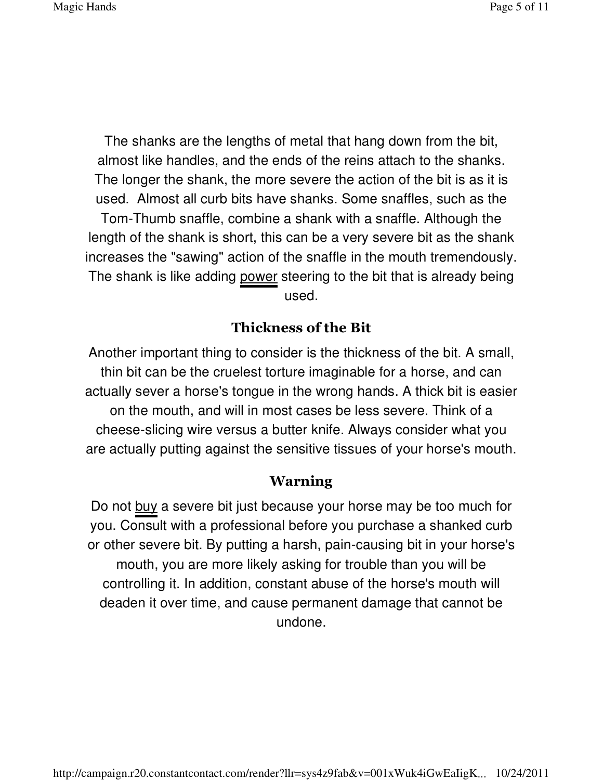The shanks are the lengths of metal that hang down from the bit, almost like handles, and the ends of the reins attach to the shanks. The longer the shank, the more severe the action of the bit is as it is used. Almost all curb bits have shanks. Some snaffles, such as the Tom-Thumb snaffle, combine a shank with a snaffle. Although the length of the shank is short, this can be a very severe bit as the shank increases the "sawing" action of the snaffle in the mouth tremendously. The shank is like adding power steering to the bit that is already being used.

#### **Thickness of the Bit**

Another important thing to consider is the thickness of the bit. A small, thin bit can be the cruelest torture imaginable for a horse, and can actually sever a horse's tongue in the wrong hands. A thick bit is easier on the mouth, and will in most cases be less severe. Think of a cheese-slicing wire versus a butter knife. Always consider what you are actually putting against the sensitive tissues of your horse's mouth.

#### **Warning**

Do not buy a severe bit just because your horse may be too much for you. Consult with a professional before you purchase a shanked curb or other severe bit. By putting a harsh, pain-causing bit in your horse's mouth, you are more likely asking for trouble than you will be controlling it. In addition, constant abuse of the horse's mouth will deaden it over time, and cause permanent damage that cannot be undone.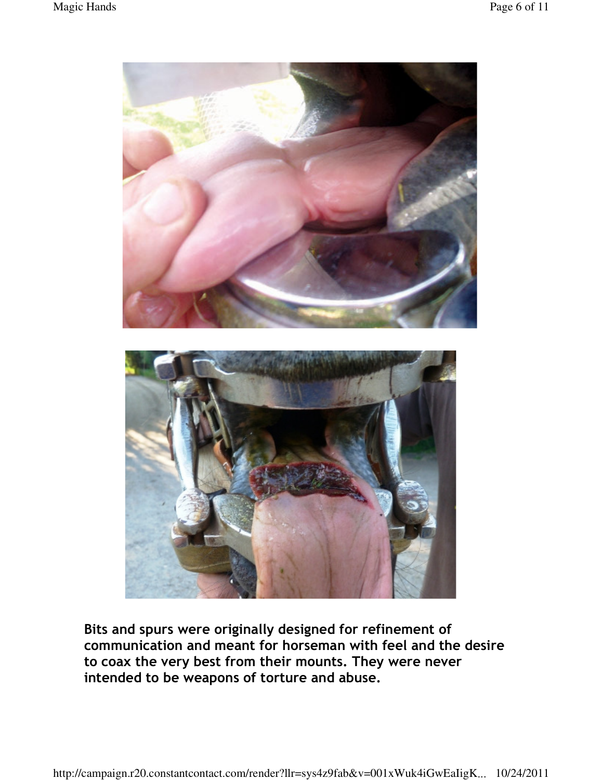

**Bits and spurs were originally designed for refinement of communication and meant for horseman with feel and the desire to coax the very best from their mounts. They were never intended to be weapons of torture and abuse.**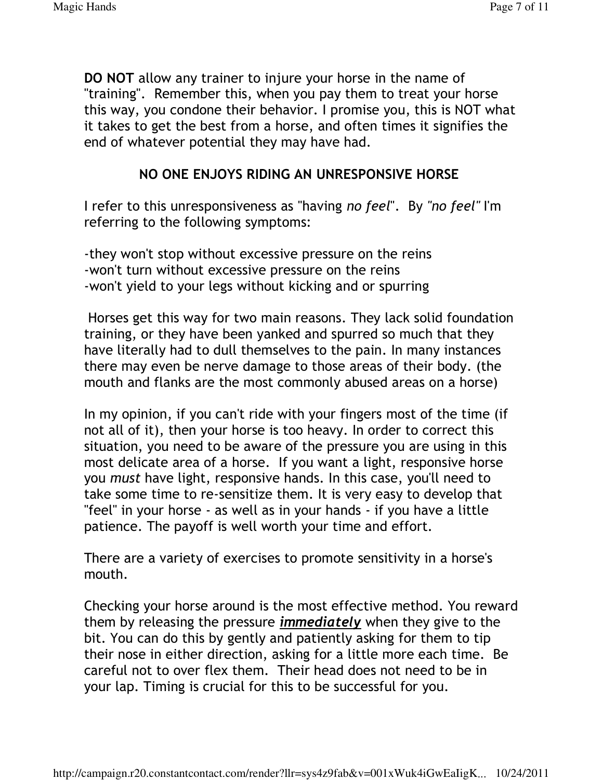**DO NOT** allow any trainer to injure your horse in the name of "training". Remember this, when you pay them to treat your horse this way, you condone their behavior. I promise you, this is NOT what it takes to get the best from a horse, and often times it signifies the end of whatever potential they may have had.

#### **NO ONE ENJOYS RIDING AN UNRESPONSIVE HORSE**

I refer to this unresponsiveness as "having *no feel*". By *"no feel"* I'm referring to the following symptoms:

-they won't stop without excessive pressure on the reins -won't turn without excessive pressure on the reins -won't yield to your legs without kicking and or spurring

Horses get this way for two main reasons. They lack solid foundation training, or they have been yanked and spurred so much that they have literally had to dull themselves to the pain. In many instances there may even be nerve damage to those areas of their body. (the mouth and flanks are the most commonly abused areas on a horse)

In my opinion, if you can't ride with your fingers most of the time (if not all of it), then your horse is too heavy. In order to correct this situation, you need to be aware of the pressure you are using in this most delicate area of a horse. If you want a light, responsive horse you *must* have light, responsive hands. In this case, you'll need to take some time to re-sensitize them. It is very easy to develop that "feel" in your horse - as well as in your hands - if you have a little patience. The payoff is well worth your time and effort.

There are a variety of exercises to promote sensitivity in a horse's mouth.

Checking your horse around is the most effective method. You reward them by releasing the pressure *immediately* when they give to the bit. You can do this by gently and patiently asking for them to tip their nose in either direction, asking for a little more each time. Be careful not to over flex them. Their head does not need to be in your lap. Timing is crucial for this to be successful for you.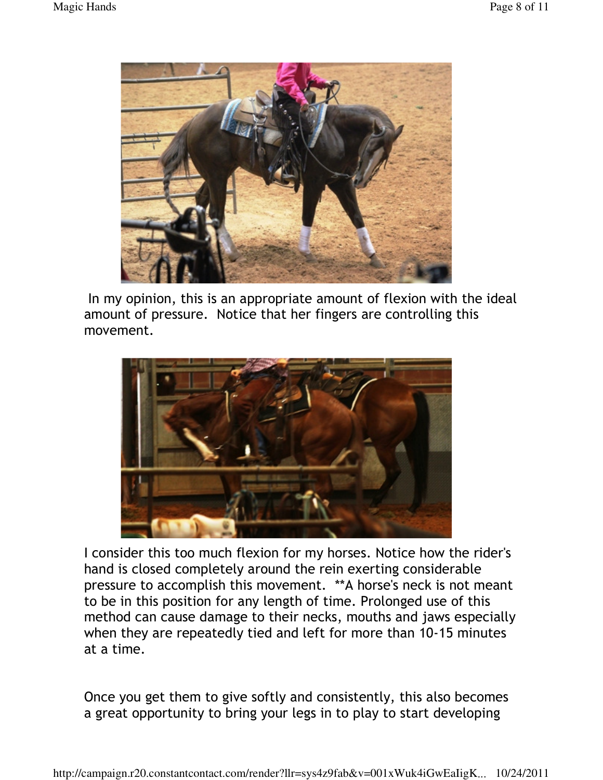

In my opinion, this is an appropriate amount of flexion with the ideal amount of pressure. Notice that her fingers are controlling this movement.



I consider this too much flexion for my horses. Notice how the rider's hand is closed completely around the rein exerting considerable pressure to accomplish this movement. \*\*A horse's neck is not meant to be in this position for any length of time. Prolonged use of this method can cause damage to their necks, mouths and jaws especially when they are repeatedly tied and left for more than 10-15 minutes at a time.

Once you get them to give softly and consistently, this also becomes a great opportunity to bring your legs in to play to start developing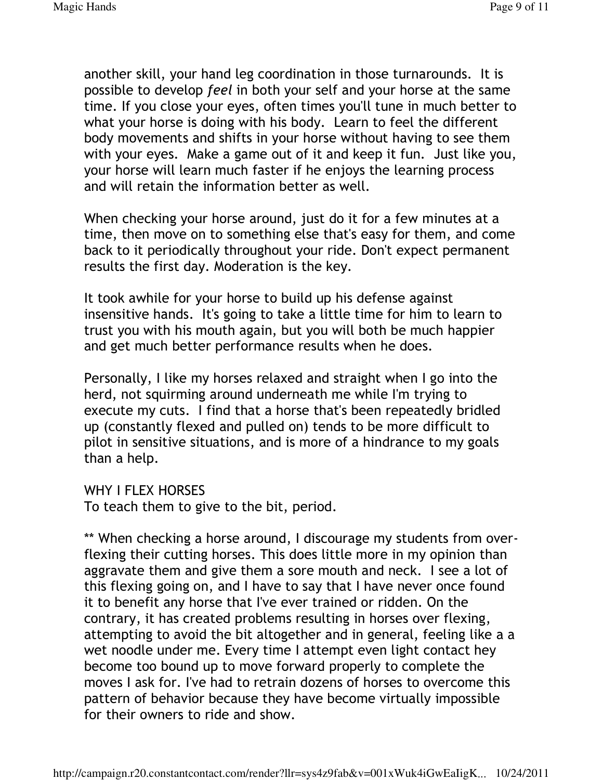another skill, your hand leg coordination in those turnarounds. It is possible to develop *feel* in both your self and your horse at the same time. If you close your eyes, often times you'll tune in much better to what your horse is doing with his body. Learn to feel the different body movements and shifts in your horse without having to see them with your eyes. Make a game out of it and keep it fun. Just like you, your horse will learn much faster if he enjoys the learning process and will retain the information better as well.

When checking your horse around, just do it for a few minutes at a time, then move on to something else that's easy for them, and come back to it periodically throughout your ride. Don't expect permanent results the first day. Moderation is the key.

It took awhile for your horse to build up his defense against insensitive hands. It's going to take a little time for him to learn to trust you with his mouth again, but you will both be much happier and get much better performance results when he does.

Personally, I like my horses relaxed and straight when I go into the herd, not squirming around underneath me while I'm trying to execute my cuts. I find that a horse that's been repeatedly bridled up (constantly flexed and pulled on) tends to be more difficult to pilot in sensitive situations, and is more of a hindrance to my goals than a help.

WHY I FLEX HORSES

To teach them to give to the bit, period.

\*\* When checking a horse around, I discourage my students from overflexing their cutting horses. This does little more in my opinion than aggravate them and give them a sore mouth and neck. I see a lot of this flexing going on, and I have to say that I have never once found it to benefit any horse that I've ever trained or ridden. On the contrary, it has created problems resulting in horses over flexing, attempting to avoid the bit altogether and in general, feeling like a a wet noodle under me. Every time I attempt even light contact hey become too bound up to move forward properly to complete the moves I ask for. I've had to retrain dozens of horses to overcome this pattern of behavior because they have become virtually impossible for their owners to ride and show.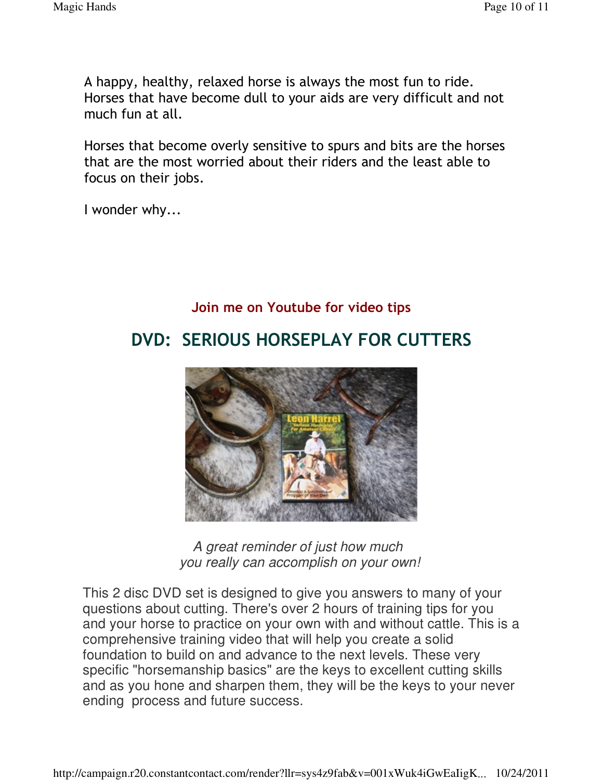A happy, healthy, relaxed horse is always the most fun to ride. Horses that have become dull to your aids are very difficult and not much fun at all.

Horses that become overly sensitive to spurs and bits are the horses that are the most worried about their riders and the least able to focus on their jobs.

I wonder why...

#### **Join me on Youtube for video tips**

# **DVD: SERIOUS HORSEPLAY FOR CUTTERS**



A great reminder of just how much you really can accomplish on your own!

This 2 disc DVD set is designed to give you answers to many of your questions about cutting. There's over 2 hours of training tips for you and your horse to practice on your own with and without cattle. This is a comprehensive training video that will help you create a solid foundation to build on and advance to the next levels. These very specific "horsemanship basics" are the keys to excellent cutting skills and as you hone and sharpen them, they will be the keys to your never ending process and future success.